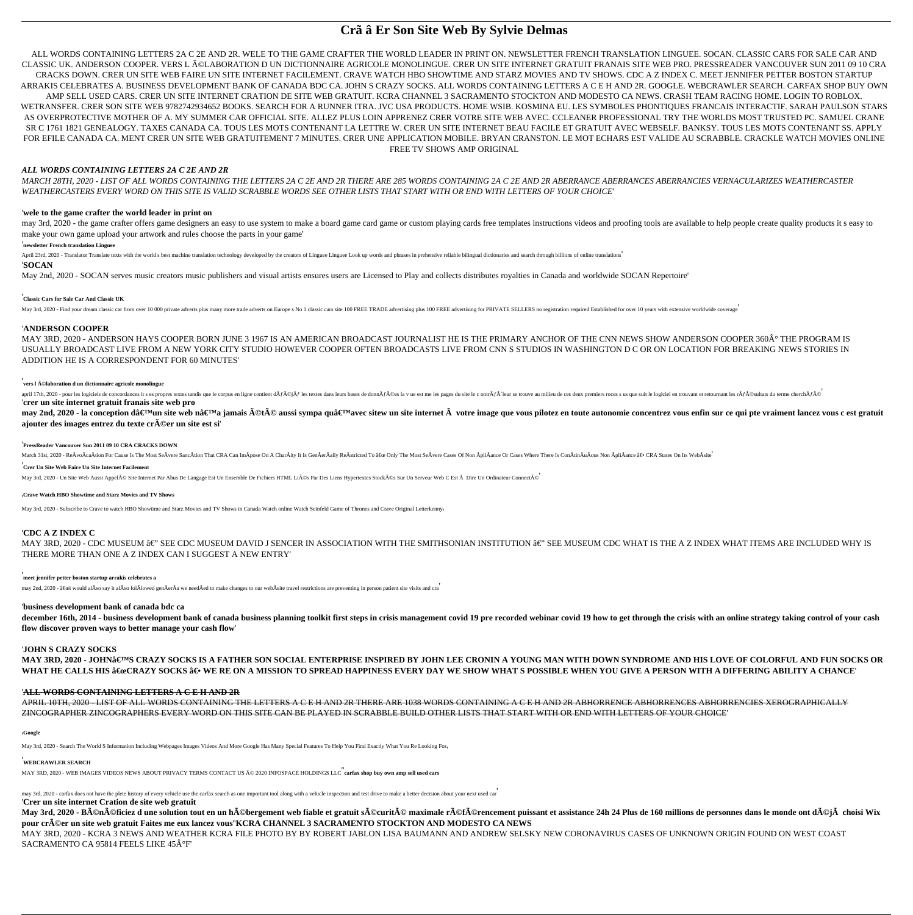# **Crã â Er Son Site Web By Sylvie Delmas**

ALL WORDS CONTAINING LETTERS 2A C 2E AND 2R. WELE TO THE GAME CRAFTER THE WORLD LEADER IN PRINT ON. NEWSLETTER FRENCH TRANSLATION LINGUEE. SOCAN. CLASSIC CARS FOR SALE CAR AND CLASSIC UK. ANDERSON COOPER. VERS L ©LABORATION D UN DICTIONNAIRE AGRICOLE MONOLINGUE. CRER UN SITE INTERNET GRATUIT FRANAIS SITE WEB PRO. PRESSREADER VANCOUVER SUN 2011 09 10 CRA CRACKS DOWN. CRER UN SITE WEB FAIRE UN SITE INTERNET FACILEMENT. CRAVE WATCH HBO SHOWTIME AND STARZ MOVIES AND TV SHOWS. CDC A Z INDEX C. MEET JENNIFER PETTER BOSTON STARTUP ARRAKIS CELEBRATES A. BUSINESS DEVELOPMENT BANK OF CANADA BDC CA. JOHN S CRAZY SOCKS. ALL WORDS CONTAINING LETTERS A C E H AND 2R. GOOGLE. WEBCRAWLER SEARCH. CARFAX SHOP BUY OWN AMP SELL USED CARS. CRER UN SITE INTERNET CRATION DE SITE WEB GRATUIT. KCRA CHANNEL 3 SACRAMENTO STOCKTON AND MODESTO CA NEWS. CRASH TEAM RACING HOME. LOGIN TO ROBLOX. WETRANSFER. CRER SON SITE WEB 9782742934652 BOOKS. SEARCH FOR A RUNNER ITRA. JVC USA PRODUCTS. HOME WSIB. KOSMINA EU. LES SYMBOLES PHONTIQUES FRANCAIS INTERACTIF. SARAH PAULSON STARS AS OVERPROTECTIVE MOTHER OF A. MY SUMMER CAR OFFICIAL SITE. ALLEZ PLUS LOIN APPRENEZ CRER VOTRE SITE WEB AVEC. CCLEANER PROFESSIONAL TRY THE WORLDS MOST TRUSTED PC. SAMUEL CRANE SR C 1761 1821 GENEALOGY. TAXES CANADA CA. TOUS LES MOTS CONTENANT LA LETTRE W. CRER UN SITE INTERNET BEAU FACILE ET GRATUIT AVEC WEBSELF. BANKSY. TOUS LES MOTS CONTENANT SS. APPLY FOR EFILE CANADA CA. MENT CRER UN SITE WEB GRATUITEMENT 7 MINUTES. CRER UNE APPLICATION MOBILE. BRYAN CRANSTON. LE MOT ECHARS EST VALIDE AU SCRABBLE. CRACKLE WATCH MOVIES ONLINE FREE TV SHOWS AMP ORIGINAL

may 3rd, 2020 - the game crafter offers game designers an easy to use system to make a board game card game or custom playing cards free templates instructions videos and proofing tools are available to help people create make your own game upload your artwork and rules choose the parts in your game'

# *ALL WORDS CONTAINING LETTERS 2A C 2E AND 2R*

MAY 3RD, 2020 - ANDERSON HAYS COOPER BORN JUNE 3 1967 IS AN AMERICAN BROADCAST JOURNALIST HE IS THE PRIMARY ANCHOR OF THE CNN NEWS SHOW ANDERSON COOPER 360° THE PROGRAM IS USUALLY BROADCAST LIVE FROM A NEW YORK CITY STUDIO HOWEVER COOPER OFTEN BROADCASTS LIVE FROM CNN S STUDIOS IN WASHINGTON D C OR ON LOCATION FOR BREAKING NEWS STORIES IN ADDITION HE IS A CORRESPONDENT FOR 60 MINUTES'

*MARCH 28TH, 2020 - LIST OF ALL WORDS CONTAINING THE LETTERS 2A C 2E AND 2R THERE ARE 285 WORDS CONTAINING 2A C 2E AND 2R ABERRANCE ABERRANCES ABERRANCIES VERNACULARIZES WEATHERCASTER WEATHERCASTERS EVERY WORD ON THIS SITE IS VALID SCRABBLE WORDS SEE OTHER LISTS THAT START WITH OR END WITH LETTERS OF YOUR CHOICE*'

# '**wele to the game crafter the world leader in print on**

april 17th, 2020 - pour les logiciels de concordances it s es propres textes tandis que le corpus en ligne conpus en ligne contient dÃf©jÃf les textes dans leurs bases de donnÃf©es la v ue est me les pages du site le con '**crer un site internet gratuit franais site web pro**

may 2nd, 2020 - la conception d'un site web n'a jamais été aussi sympa qu'avec sitew un site internet à votre image que vous pilotez en toute autonomie concentrez vous enfin sur ce qui pte vraiment lancez vous c e ajouter des images entrez du texte cr©er un site est si'

# '**newsletter French translation Linguee**

April 23rd, 2020 - Translator Translate texts with the world s best machine translation technology developed by the creators of Linguee Linguee Look up words and phrases in prehensive reliable bilingual dictionaries and se

#### '**SOCAN**

May 2nd, 2020 - SOCAN serves music creators music publishers and visual artists ensures users are Licensed to Play and collects distributes royalties in Canada and worldwide SOCAN Repertoire'

MAY 3RD, 2020 - CDC MUSEUM  $\hat{\mathbf{a}} \in \tilde{\mathbf{c}}$  see CDC museum david J sencer in association with the smithsonian institution  $\hat{\mathbf{a}} \in \tilde{\mathbf{c}}$  see museum cDC what is the a z index what items are included why is THERE MORE THAN ONE A Z INDEX CAN I SUGGEST A NEW ENTRY'

# '**Classic Cars for Sale Car And Classic UK**

May 3rd, 2020 - Find your dream classic car from over 10 000 private adverts plus many more trade adverts on Europe s No 1 classic cars site 100 FREE TRADE advertising plus 100 FREE divertising for PRIVATE SELLERS no regis

december 16th, 2014 - business development bank of canada business planning toolkit first steps in crisis management covid 19 pre recorded webinar covid 19 how to get through the crisis with an online strategy taking contr **flow discover proven ways to better manage your cash flow**'

**MAY 3RD, 2020 - JOHN'S CRAZY SOCKS IS A FATHER SON SOCIAL ENTERPRISE INSPIRED BY JOHN LEE CRONIN A YOUNG MAN WITH DOWN SYNDROME AND HIS LOVE OF COLORFUL AND FUN SOCKS OR** WHAT HE CALLS HIS "CRAZY SOCKS ― WE RE ON A MISSION TO SPREAD HAPPINESS EVERY DAY WE SHOW WHAT S POSSIBLE WHEN YOU GIVE A PERSON WITH A DIFFERING ABILITY A CHANCE

# '**ANDERSON COOPER**

APRIL 10TH, 2020 - LIST OF ALL WORDS CONTAINING THE LETTERS A C E H AND 2R THERE ARE 1038 WORDS CONTAINING A C E H AND 2R ABHORRENCE ABHORRENCES ABHORRENCIES XEROGRAPHICALLY ZINCOGRAPHER ZINCOGRAPHERS EVERY WORD ON THIS SITE CAN BE PLAYED IN SCRABBLE BUILD OTHER LISTS THAT START WITH OR END WITH LETTERS OF YOUR CHOICE'

may 3rd, 2020 - carfax does not have the plete history of every vehicle use the carfax search as one important tool along with a vehicle inspection and test drive to make a better decision about your next used car' '**Crer un site internet Cration de site web gratuit** May 3rd, 2020 - Bénéficiez d une solution tout en un hébergement web fiable et gratuit sécurité maximale référencement puissant et assistance 24h 24 Plus de 160 millions de personnes dans le monde ont déjà choisi W pour cr©er un site web gratuit Faites me eux lancez vous"KCRA CHANNEL 3 SACRAMENTO STOCKTON AND MODESTO CA NEWS MAY 3RD, 2020 - KCRA 3 NEWS AND WEATHER KCRA FILE PHOTO BY BY ROBERT JABLON LISA BAUMANN AND ANDREW SELSKY NEW CORONAVIRUS CASES OF UNKNOWN ORIGIN FOUND ON WEST COAST SACRAMENTO CA 95814 FEELS LIKE 45°F'

# '**vers l ©laboration d un dictionnaire agricole monolingue**

#### '**PressReader Vancouver Sun 2011 09 10 CRA CRACKS DOWN**

March 31st, 2020 - ReÂvoÂcaÂtion For Cause Is The Most SeÂvere SancÂtion That CRA Can ImÂpose On A CharÂity It Is GenÂerÂally ReÂstricted To a €ce Only The Most SeÂvere Cases Of Non ÂpliÂance Or Cases Where There Is ConÂt

# '**Crer Un Site Web Faire Un Site Internet Facilement**

May 3rd, 2020 - Un Site Web Aussi Appel© Site Internet Par Abus De Langage Est Un Ensemble De Fichiers HTML Liés Par Des Liens Hypertextes Stock©s Sur Un Serveur Web C Est Dire Un Ordinateur Connecté

#### '**Crave Watch HBO Showtime and Starz Movies and TV Shows**

May 3rd, 2020 - Subscribe to Crave to watch HBO Showtime and Starz Movies and TV Shows in Canada Watch online Watch Seinfeld Game of Thrones and Crave Original Letterkenny

#### '**CDC A Z INDEX C**

# '**meet jennifer petter boston startup arrakis celebrates a**

may 2nd, 2020 - "i would alÂso say it alÂso folÂlowed genÂerÂa we needÂed to make changes to our webÂsite travel restrictions are preventing in person patient site visits and cra

#### '**business development bank of canada bdc ca**

#### '**JOHN S CRAZY SOCKS**

'**Google**

May 3rd, 2020 - Search The World S Information Including Webpages Images Videos And More Google Has Many Special Features To Help You Find Exactly What You Re Looking For'

#### '**WEBCRAWLER SEARCH**

MAY 3RD, 2020 - WEB IMAGES VIDEOS NEWS ABOUT PRIVACY TERMS CONTACT US © 2020 INFOSPACE HOLDINGS LLC<sup>"</sup>carfax shop buy own amp sell used cars